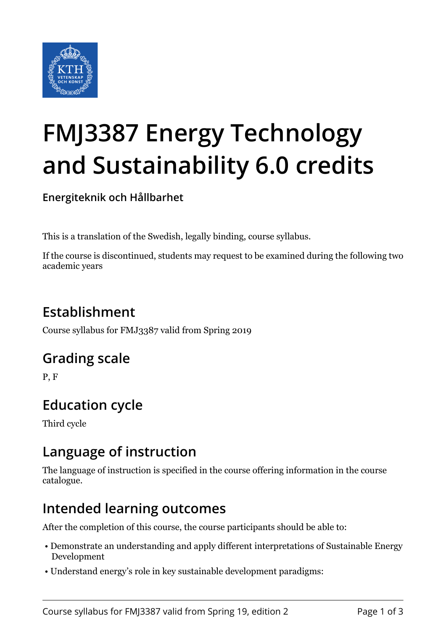

# **FMJ3387 Energy Technology and Sustainability 6.0 credits**

**Energiteknik och Hållbarhet**

This is a translation of the Swedish, legally binding, course syllabus.

If the course is discontinued, students may request to be examined during the following two academic years

# **Establishment**

Course syllabus for FMJ3387 valid from Spring 2019

#### **Grading scale**

P, F

## **Education cycle**

Third cycle

#### **Language of instruction**

The language of instruction is specified in the course offering information in the course catalogue.

#### **Intended learning outcomes**

After the completion of this course, the course participants should be able to:

- Demonstrate an understanding and apply different interpretations of Sustainable Energy Development
- Understand energy's role in key sustainable development paradigms: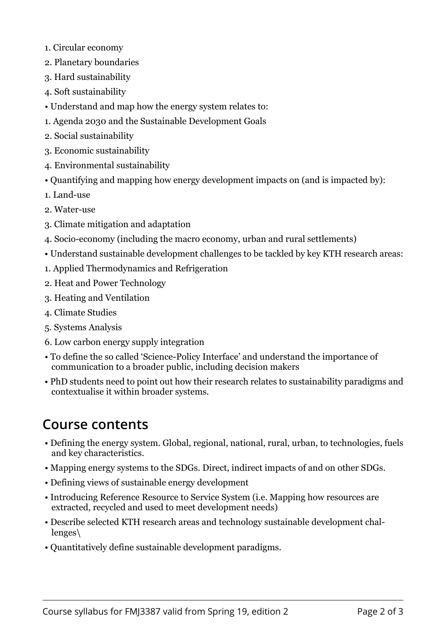- 1. Circular economy
- 2. Planetary boundaries
- 3. Hard sustainability
- 4. Soft sustainability
- Understand and map how the energy system relates to:
- 1. Agenda 2030 and the Sustainable Development Goals
- 2. Social sustainability
- 3. Economic sustainability
- 4. Environmental sustainability
- Quantifying and mapping how energy development impacts on (and is impacted by):
- 1. Land-use
- 2. Water-use
- 3. Climate mitigation and adaptation
- 4. Socio-economy (including the macro economy, urban and rural settlements)
- Understand sustainable development challenges to be tackled by key KTH research areas:
- 1. Applied Thermodynamics and Refrigeration
- 2. Heat and Power Technology
- 3. Heating and Ventilation
- 4. Climate Studies
- 5. Systems Analysis
- 6. Low carbon energy supply integration
- To define the so called 'Science-Policy Interface' and understand the importance of communication to a broader public, including decision makers
- PhD students need to point out how their research relates to sustainability paradigms and contextualise it within broader systems.

## **Course contents**

- Defining the energy system. Global, regional, national, rural, urban, to technologies, fuels and key characteristics.
- Mapping energy systems to the SDGs. Direct, indirect impacts of and on other SDGs.
- Defining views of sustainable energy development
- Introducing Reference Resource to Service System (i.e. Mapping how resources are extracted, recycled and used to meet development needs)
- Describe selected KTH research areas and technology sustainable development challenges\
- Quantitatively define sustainable development paradigms.